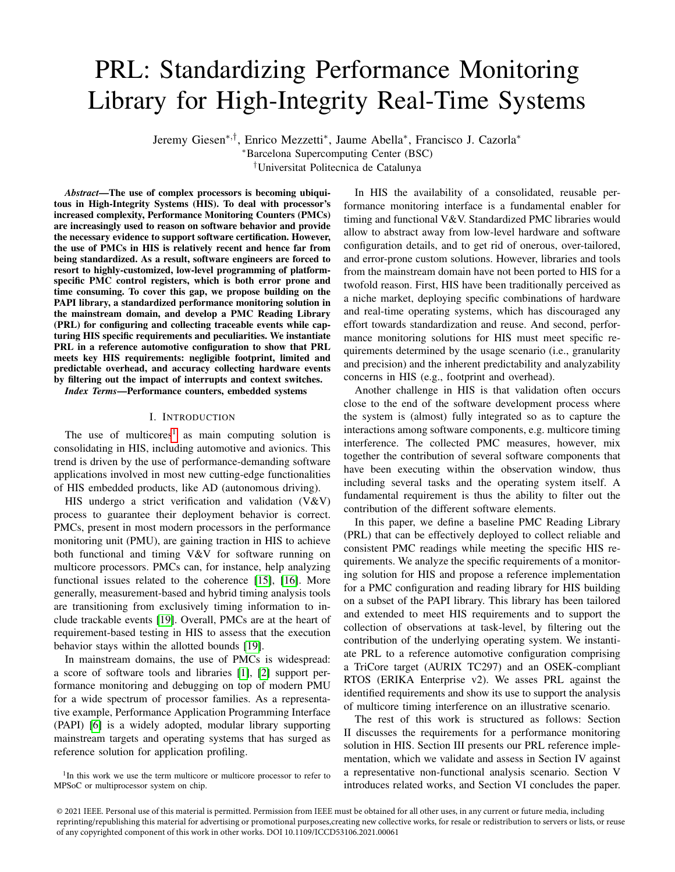# PRL: Standardizing Performance Monitoring Library for High-Integrity Real-Time Systems

Jeremy Giesen∗,† , Enrico Mezzetti<sup>∗</sup> , Jaume Abella<sup>∗</sup> , Francisco J. Cazorla<sup>∗</sup>

<sup>∗</sup>Barcelona Supercomputing Center (BSC)

†Universitat Politecnica de Catalunya

*Abstract*—The use of complex processors is becoming ubiquitous in High-Integrity Systems (HIS). To deal with processor's increased complexity, Performance Monitoring Counters (PMCs) are increasingly used to reason on software behavior and provide the necessary evidence to support software certification. However, the use of PMCs in HIS is relatively recent and hence far from being standardized. As a result, software engineers are forced to resort to highly-customized, low-level programming of platformspecific PMC control registers, which is both error prone and time consuming. To cover this gap, we propose building on the PAPI library, a standardized performance monitoring solution in the mainstream domain, and develop a PMC Reading Library (PRL) for configuring and collecting traceable events while capturing HIS specific requirements and peculiarities. We instantiate PRL in a reference automotive configuration to show that PRL meets key HIS requirements: negligible footprint, limited and predictable overhead, and accuracy collecting hardware events by filtering out the impact of interrupts and context switches.

*Index Terms*—Performance counters, embedded systems

# I. INTRODUCTION

The use of multicores<sup>[1](#page-0-0)</sup> as main computing solution is consolidating in HIS, including automotive and avionics. This trend is driven by the use of performance-demanding software applications involved in most new cutting-edge functionalities of HIS embedded products, like AD (autonomous driving).

HIS undergo a strict verification and validation (V&V) process to guarantee their deployment behavior is correct. PMCs, present in most modern processors in the performance monitoring unit (PMU), are gaining traction in HIS to achieve both functional and timing V&V for software running on multicore processors. PMCs can, for instance, help analyzing functional issues related to the coherence [\[15\]](#page-4-0), [\[16\]](#page-4-1). More generally, measurement-based and hybrid timing analysis tools are transitioning from exclusively timing information to include trackable events [\[19\]](#page-4-2). Overall, PMCs are at the heart of requirement-based testing in HIS to assess that the execution behavior stays within the allotted bounds [\[19\]](#page-4-2).

In mainstream domains, the use of PMCs is widespread: a score of software tools and libraries [\[1\]](#page-4-3), [\[2\]](#page-4-4) support performance monitoring and debugging on top of modern PMU for a wide spectrum of processor families. As a representative example, Performance Application Programming Interface (PAPI) [\[6\]](#page-4-5) is a widely adopted, modular library supporting mainstream targets and operating systems that has surged as reference solution for application profiling.

<span id="page-0-0"></span><sup>1</sup>In this work we use the term multicore or multicore processor to refer to MPSoC or multiprocessor system on chip.

In HIS the availability of a consolidated, reusable performance monitoring interface is a fundamental enabler for timing and functional V&V. Standardized PMC libraries would allow to abstract away from low-level hardware and software configuration details, and to get rid of onerous, over-tailored, and error-prone custom solutions. However, libraries and tools from the mainstream domain have not been ported to HIS for a twofold reason. First, HIS have been traditionally perceived as a niche market, deploying specific combinations of hardware and real-time operating systems, which has discouraged any effort towards standardization and reuse. And second, performance monitoring solutions for HIS must meet specific requirements determined by the usage scenario (i.e., granularity and precision) and the inherent predictability and analyzability concerns in HIS (e.g., footprint and overhead).

Another challenge in HIS is that validation often occurs close to the end of the software development process where the system is (almost) fully integrated so as to capture the interactions among software components, e.g. multicore timing interference. The collected PMC measures, however, mix together the contribution of several software components that have been executing within the observation window, thus including several tasks and the operating system itself. A fundamental requirement is thus the ability to filter out the contribution of the different software elements.

In this paper, we define a baseline PMC Reading Library (PRL) that can be effectively deployed to collect reliable and consistent PMC readings while meeting the specific HIS requirements. We analyze the specific requirements of a monitoring solution for HIS and propose a reference implementation for a PMC configuration and reading library for HIS building on a subset of the PAPI library. This library has been tailored and extended to meet HIS requirements and to support the collection of observations at task-level, by filtering out the contribution of the underlying operating system. We instantiate PRL to a reference automotive configuration comprising a TriCore target (AURIX TC297) and an OSEK-compliant RTOS (ERIKA Enterprise v2). We asses PRL against the identified requirements and show its use to support the analysis of multicore timing interference on an illustrative scenario.

The rest of this work is structured as follows: Section II discusses the requirements for a performance monitoring solution in HIS. Section III presents our PRL reference implementation, which we validate and assess in Section IV against a representative non-functional analysis scenario. Section V introduces related works, and Section VI concludes the paper.

<sup>© 2021</sup> IEEE. Personal use of this material is permitted. Permission from IEEE must be obtained for all other uses, in any current or future media, including reprinting/republishing this material for advertising or promotional purposes,creating new collective works, for resale or redistribution to servers or lists, or reuse of any copyrighted component of this work in other works. DOI 10.1109/ICCD53106.2021.00061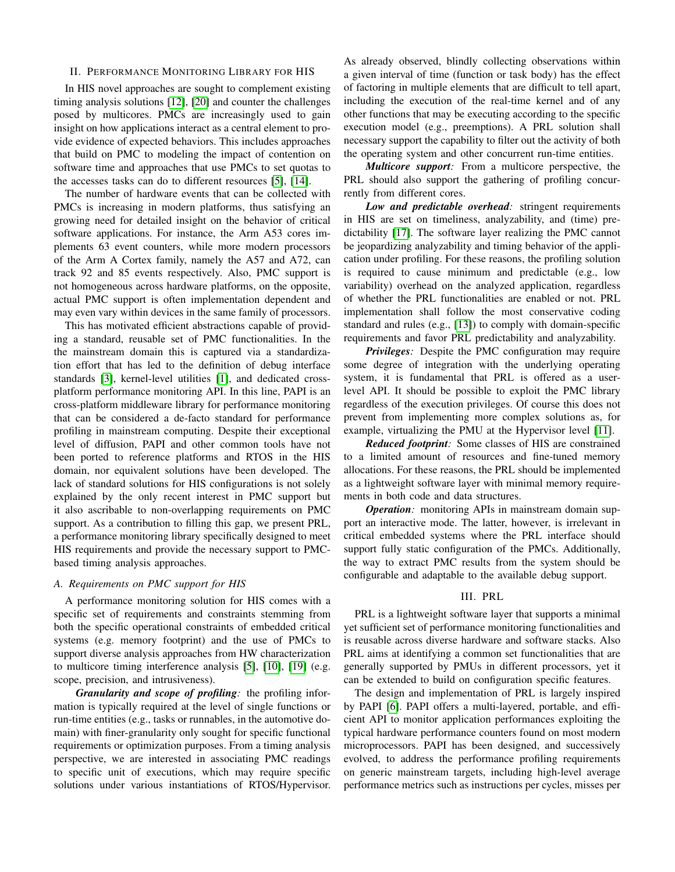## II. PERFORMANCE MONITORING LIBRARY FOR HIS

In HIS novel approaches are sought to complement existing timing analysis solutions [\[12\]](#page-4-6), [\[20\]](#page-4-7) and counter the challenges posed by multicores. PMCs are increasingly used to gain insight on how applications interact as a central element to provide evidence of expected behaviors. This includes approaches that build on PMC to modeling the impact of contention on software time and approaches that use PMCs to set quotas to the accesses tasks can do to different resources [\[5\]](#page-4-8), [\[14\]](#page-4-9).

The number of hardware events that can be collected with PMCs is increasing in modern platforms, thus satisfying an growing need for detailed insight on the behavior of critical software applications. For instance, the Arm A53 cores implements 63 event counters, while more modern processors of the Arm A Cortex family, namely the A57 and A72, can track 92 and 85 events respectively. Also, PMC support is not homogeneous across hardware platforms, on the opposite, actual PMC support is often implementation dependent and may even vary within devices in the same family of processors.

This has motivated efficient abstractions capable of providing a standard, reusable set of PMC functionalities. In the the mainstream domain this is captured via a standardization effort that has led to the definition of debug interface standards [\[3\]](#page-4-10), kernel-level utilities [\[1\]](#page-4-3), and dedicated crossplatform performance monitoring API. In this line, PAPI is an cross-platform middleware library for performance monitoring that can be considered a de-facto standard for performance profiling in mainstream computing. Despite their exceptional level of diffusion, PAPI and other common tools have not been ported to reference platforms and RTOS in the HIS domain, nor equivalent solutions have been developed. The lack of standard solutions for HIS configurations is not solely explained by the only recent interest in PMC support but it also ascribable to non-overlapping requirements on PMC support. As a contribution to filling this gap, we present PRL, a performance monitoring library specifically designed to meet HIS requirements and provide the necessary support to PMCbased timing analysis approaches.

## <span id="page-1-0"></span>*A. Requirements on PMC support for HIS*

A performance monitoring solution for HIS comes with a specific set of requirements and constraints stemming from both the specific operational constraints of embedded critical systems (e.g. memory footprint) and the use of PMCs to support diverse analysis approaches from HW characterization to multicore timing interference analysis [\[5\]](#page-4-8), [\[10\]](#page-4-11), [\[19\]](#page-4-2) (e.g. scope, precision, and intrusiveness).

*Granularity and scope of profiling:* the profiling information is typically required at the level of single functions or run-time entities (e.g., tasks or runnables, in the automotive domain) with finer-granularity only sought for specific functional requirements or optimization purposes. From a timing analysis perspective, we are interested in associating PMC readings to specific unit of executions, which may require specific solutions under various instantiations of RTOS/Hypervisor. As already observed, blindly collecting observations within a given interval of time (function or task body) has the effect of factoring in multiple elements that are difficult to tell apart, including the execution of the real-time kernel and of any other functions that may be executing according to the specific execution model (e.g., preemptions). A PRL solution shall necessary support the capability to filter out the activity of both the operating system and other concurrent run-time entities.

*Multicore support:* From a multicore perspective, the PRL should also support the gathering of profiling concurrently from different cores.

*Low and predictable overhead:* stringent requirements in HIS are set on timeliness, analyzability, and (time) predictability [\[17\]](#page-4-12). The software layer realizing the PMC cannot be jeopardizing analyzability and timing behavior of the application under profiling. For these reasons, the profiling solution is required to cause minimum and predictable (e.g., low variability) overhead on the analyzed application, regardless of whether the PRL functionalities are enabled or not. PRL implementation shall follow the most conservative coding standard and rules (e.g., [\[13\]](#page-4-13)) to comply with domain-specific requirements and favor PRL predictability and analyzability.

*Privileges:* Despite the PMC configuration may require some degree of integration with the underlying operating system, it is fundamental that PRL is offered as a userlevel API. It should be possible to exploit the PMC library regardless of the execution privileges. Of course this does not prevent from implementing more complex solutions as, for example, virtualizing the PMU at the Hypervisor level [\[11\]](#page-4-14).

*Reduced footprint:* Some classes of HIS are constrained to a limited amount of resources and fine-tuned memory allocations. For these reasons, the PRL should be implemented as a lightweight software layer with minimal memory requirements in both code and data structures.

*Operation:* monitoring APIs in mainstream domain support an interactive mode. The latter, however, is irrelevant in critical embedded systems where the PRL interface should support fully static configuration of the PMCs. Additionally, the way to extract PMC results from the system should be configurable and adaptable to the available debug support.

## III. PRL

PRL is a lightweight software layer that supports a minimal yet sufficient set of performance monitoring functionalities and is reusable across diverse hardware and software stacks. Also PRL aims at identifying a common set functionalities that are generally supported by PMUs in different processors, yet it can be extended to build on configuration specific features.

The design and implementation of PRL is largely inspired by PAPI [\[6\]](#page-4-5). PAPI offers a multi-layered, portable, and efficient API to monitor application performances exploiting the typical hardware performance counters found on most modern microprocessors. PAPI has been designed, and successively evolved, to address the performance profiling requirements on generic mainstream targets, including high-level average performance metrics such as instructions per cycles, misses per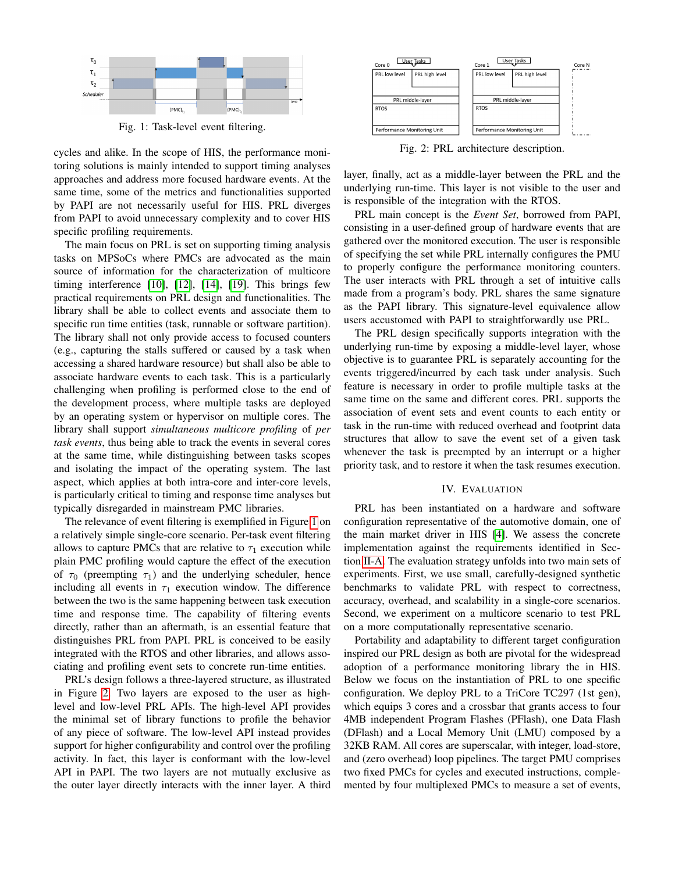<span id="page-2-0"></span>

Fig. 1: Task-level event filtering.

cycles and alike. In the scope of HIS, the performance monitoring solutions is mainly intended to support timing analyses approaches and address more focused hardware events. At the same time, some of the metrics and functionalities supported by PAPI are not necessarily useful for HIS. PRL diverges from PAPI to avoid unnecessary complexity and to cover HIS specific profiling requirements.

The main focus on PRL is set on supporting timing analysis tasks on MPSoCs where PMCs are advocated as the main source of information for the characterization of multicore timing interference [\[10\]](#page-4-11), [\[12\]](#page-4-6), [\[14\]](#page-4-9), [\[19\]](#page-4-2). This brings few practical requirements on PRL design and functionalities. The library shall be able to collect events and associate them to specific run time entities (task, runnable or software partition). The library shall not only provide access to focused counters (e.g., capturing the stalls suffered or caused by a task when accessing a shared hardware resource) but shall also be able to associate hardware events to each task. This is a particularly challenging when profiling is performed close to the end of the development process, where multiple tasks are deployed by an operating system or hypervisor on multiple cores. The library shall support *simultaneous multicore profiling* of *per task events*, thus being able to track the events in several cores at the same time, while distinguishing between tasks scopes and isolating the impact of the operating system. The last aspect, which applies at both intra-core and inter-core levels, is particularly critical to timing and response time analyses but typically disregarded in mainstream PMC libraries.

The relevance of event filtering is exemplified in Figure [1](#page-2-0) on a relatively simple single-core scenario. Per-task event filtering allows to capture PMCs that are relative to  $\tau_1$  execution while plain PMC profiling would capture the effect of the execution of  $\tau_0$  (preempting  $\tau_1$ ) and the underlying scheduler, hence including all events in  $\tau_1$  execution window. The difference between the two is the same happening between task execution time and response time. The capability of filtering events directly, rather than an aftermath, is an essential feature that distinguishes PRL from PAPI. PRL is conceived to be easily integrated with the RTOS and other libraries, and allows associating and profiling event sets to concrete run-time entities.

PRL's design follows a three-layered structure, as illustrated in Figure [2.](#page-2-1) Two layers are exposed to the user as highlevel and low-level PRL APIs. The high-level API provides the minimal set of library functions to profile the behavior of any piece of software. The low-level API instead provides support for higher configurability and control over the profiling activity. In fact, this layer is conformant with the low-level API in PAPI. The two layers are not mutually exclusive as the outer layer directly interacts with the inner layer. A third

<span id="page-2-1"></span>

Fig. 2: PRL architecture description.

layer, finally, act as a middle-layer between the PRL and the underlying run-time. This layer is not visible to the user and is responsible of the integration with the RTOS.

PRL main concept is the *Event Set*, borrowed from PAPI, consisting in a user-defined group of hardware events that are gathered over the monitored execution. The user is responsible of specifying the set while PRL internally configures the PMU to properly configure the performance monitoring counters. The user interacts with PRL through a set of intuitive calls made from a program's body. PRL shares the same signature as the PAPI library. This signature-level equivalence allow users accustomed with PAPI to straightforwardly use PRL.

The PRL design specifically supports integration with the underlying run-time by exposing a middle-level layer, whose objective is to guarantee PRL is separately accounting for the events triggered/incurred by each task under analysis. Such feature is necessary in order to profile multiple tasks at the same time on the same and different cores. PRL supports the association of event sets and event counts to each entity or task in the run-time with reduced overhead and footprint data structures that allow to save the event set of a given task whenever the task is preempted by an interrupt or a higher priority task, and to restore it when the task resumes execution.

### IV. EVALUATION

PRL has been instantiated on a hardware and software configuration representative of the automotive domain, one of the main market driver in HIS [\[4\]](#page-4-15). We assess the concrete implementation against the requirements identified in Section [II-A.](#page-1-0) The evaluation strategy unfolds into two main sets of experiments. First, we use small, carefully-designed synthetic benchmarks to validate PRL with respect to correctness, accuracy, overhead, and scalability in a single-core scenarios. Second, we experiment on a multicore scenario to test PRL on a more computationally representative scenario.

Portability and adaptability to different target configuration inspired our PRL design as both are pivotal for the widespread adoption of a performance monitoring library the in HIS. Below we focus on the instantiation of PRL to one specific configuration. We deploy PRL to a TriCore TC297 (1st gen), which equips 3 cores and a crossbar that grants access to four 4MB independent Program Flashes (PFlash), one Data Flash (DFlash) and a Local Memory Unit (LMU) composed by a 32KB RAM. All cores are superscalar, with integer, load-store, and (zero overhead) loop pipelines. The target PMU comprises two fixed PMCs for cycles and executed instructions, complemented by four multiplexed PMCs to measure a set of events,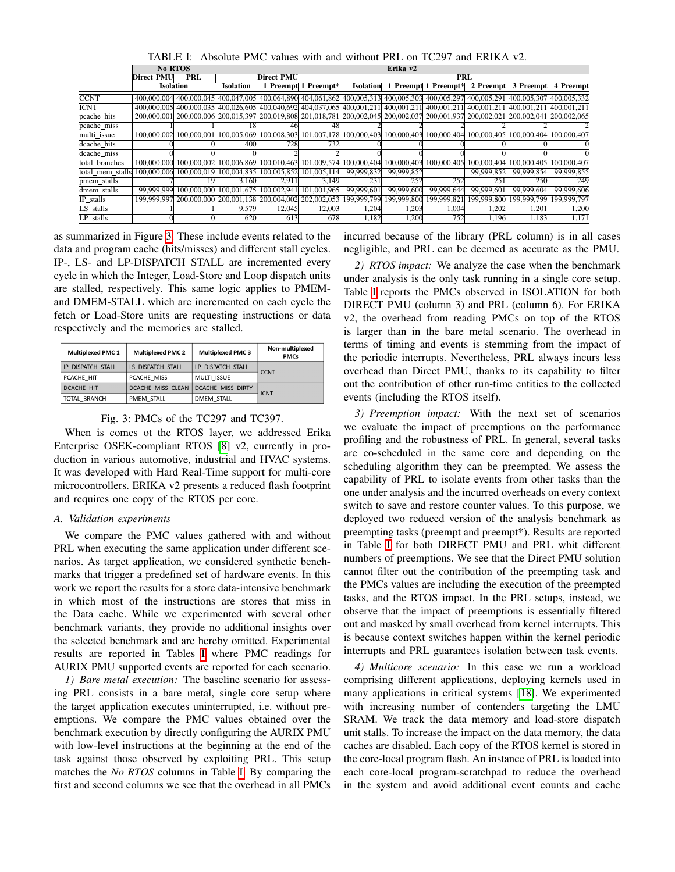<span id="page-3-1"></span>

|                  | <b>No RTOS</b>                  |                         | Erika v2                                                    |                                     |                      |                  |             |                                                                         |                         |                         |             |
|------------------|---------------------------------|-------------------------|-------------------------------------------------------------|-------------------------------------|----------------------|------------------|-------------|-------------------------------------------------------------------------|-------------------------|-------------------------|-------------|
|                  | <b>PRL</b><br><b>Direct PMU</b> |                         | <b>Direct PMU</b>                                           |                                     |                      | PRL              |             |                                                                         |                         |                         |             |
|                  | <b>Isolation</b>                |                         | <b>Isolation</b>                                            |                                     | 1 Preempt 1 Preempt* | <b>Isolation</b> |             | 1 Preempt 1 Preempt*                                                    | 2 Preempt               | 3 Preempt               | 4 Preempt   |
| <b>CCNT</b>      |                                 | 400,000,004 400,000,045 |                                                             | 400,047,005 400,064,890 404,061,862 |                      | 400,005,313      |             | 400,005,303 400,005,297                                                 | 400.005.291 400.005.307 |                         | 400,005,332 |
| <b>ICNT</b>      |                                 | 400,000,005 400,000,035 |                                                             | 400,026,605 400,040,692 404,037,065 |                      |                  |             | 400,001,211 400,001,211 400,001,211 400,001,211 400,001,211 400,001,211 |                         |                         |             |
| pcache_hits      |                                 |                         | 200,000,001 200,000,006 200,015,397 200,019,808 201,018,781 |                                     |                      |                  |             | 200,002,045 200,002,037 200,001,937 200,002,021 200,002,041 200,002,065 |                         |                         |             |
| pcache miss      |                                 |                         |                                                             | 46                                  | 48                   |                  |             |                                                                         |                         |                         |             |
| multi issue      | 100.000.002                     | 100,000,001             | 100,005,069                                                 | 100,008,303                         | 101,007,178          | 100,000,403      | 100,000,403 | 100,000,404 100,000,405                                                 |                         | 100,000,404 100,000,407 |             |
| dcache_hits      |                                 |                         | 400                                                         | 7281                                | 732                  |                  |             |                                                                         |                         |                         |             |
| dcache miss      |                                 |                         |                                                             |                                     |                      |                  |             |                                                                         |                         |                         |             |
| total branches   | 100.000.000                     | 100,000,002             | 100,006,869                                                 | 100,010,463                         | 101.009.574          | 100,000,404      | 100,000,403 | 100,000,405                                                             | 100,000,404             | 100,000,405             | 100,000,407 |
| total_mem_stalls | 100,000,006                     | 100,000,019             | 100,004,835                                                 | 100,005,852                         | 101,005,114          | 99,999,832       | 99,999,852  |                                                                         | 99,999,852              | 99,999,854              | 99,999,855  |
| pmem_stalls      |                                 | 19                      | 3.160                                                       | 2.911                               | 3,149                | 231              | 252         | 252                                                                     | 251                     | 250                     | 249         |
| dmem stalls      | 99,999,999                      | 100,000,000             | 100,001,675                                                 | 100,002,941                         | 101,001,965          | 99,999,601       | 99,999,600  | 99,999,644                                                              | 99,999,60               | 99,999,604              | 99,999,606  |
| IP_stalls        |                                 |                         | 199,999,997 200,000,000 200,001,138 200,004,002             |                                     | 202,002,053          | 199,999,799      | 199,999,800 | 199,999,821                                                             | 199,999,800             | 199,999,799             | 199,999,797 |
| LS stalls        |                                 |                         | 9,579                                                       | 12,045                              | 12,003               | 1,204            | 1,203       | 1.004                                                                   | 1,202                   | 1,201                   | 1,200       |
| LP stalls        |                                 |                         | 620                                                         | 613                                 | 678                  | 1.182            | 1.200       | 752                                                                     | 1.196                   | 1.183                   | 1,171       |

TABLE I: Absolute PMC values with and without PRL on TC297 and ERIKA v2.

as summarized in Figure [3.](#page-3-0) These include events related to the data and program cache (hits/misses) and different stall cycles. IP-, LS- and LP-DISPATCH\_STALL are incremented every cycle in which the Integer, Load-Store and Loop dispatch units are stalled, respectively. This same logic applies to PMEMand DMEM-STALL which are incremented on each cycle the fetch or Load-Store units are requesting instructions or data respectively and the memories are stalled.

<span id="page-3-0"></span>

| <b>Multiplexed PMC 1</b> | <b>Multiplexed PMC 2</b> | <b>Multiplexed PMC 3</b> | Non-multiplexed<br><b>PMCs</b> |  |  |
|--------------------------|--------------------------|--------------------------|--------------------------------|--|--|
| IP DISPATCH STALL        | LS DISPATCH STALL        | LP DISPATCH STALL        | <b>CCNT</b>                    |  |  |
| PCACHE HIT               | PCACHE MISS              | MULTI ISSUE              |                                |  |  |
| DCACHE HIT               | DCACHE MISS CLEAN        | DCACHE MISS DIRTY        | <b>ICNT</b>                    |  |  |
| <b>TOTAL BRANCH</b>      | PMEM STALL               | <b>DMEM STALL</b>        |                                |  |  |

Fig. 3: PMCs of the TC297 and TC397.

When is comes ot the RTOS layer, we addressed Erika Enterprise OSEK-compliant RTOS [\[8\]](#page-4-16) v2, currently in production in various automotive, industrial and HVAC systems. It was developed with Hard Real-Time support for multi-core microcontrollers. ERIKA v2 presents a reduced flash footprint and requires one copy of the RTOS per core.

## *A. Validation experiments*

We compare the PMC values gathered with and without PRL when executing the same application under different scenarios. As target application, we considered synthetic benchmarks that trigger a predefined set of hardware events. In this work we report the results for a store data-intensive benchmark in which most of the instructions are stores that miss in the Data cache. While we experimented with several other benchmark variants, they provide no additional insights over the selected benchmark and are hereby omitted. Experimental results are reported in Tables [I](#page-3-1) where PMC readings for AURIX PMU supported events are reported for each scenario.

*1) Bare metal execution:* The baseline scenario for assessing PRL consists in a bare metal, single core setup where the target application executes uninterrupted, i.e. without preemptions. We compare the PMC values obtained over the benchmark execution by directly configuring the AURIX PMU with low-level instructions at the beginning at the end of the task against those observed by exploiting PRL. This setup matches the *No RTOS* columns in Table [I.](#page-3-1) By comparing the first and second columns we see that the overhead in all PMCs incurred because of the library (PRL column) is in all cases negligible, and PRL can be deemed as accurate as the PMU.

*2) RTOS impact:* We analyze the case when the benchmark under analysis is the only task running in a single core setup. Table [I](#page-3-1) reports the PMCs observed in ISOLATION for both DIRECT PMU (column 3) and PRL (column 6). For ERIKA v2, the overhead from reading PMCs on top of the RTOS is larger than in the bare metal scenario. The overhead in terms of timing and events is stemming from the impact of the periodic interrupts. Nevertheless, PRL always incurs less overhead than Direct PMU, thanks to its capability to filter out the contribution of other run-time entities to the collected events (including the RTOS itself).

*3) Preemption impact:* With the next set of scenarios we evaluate the impact of preemptions on the performance profiling and the robustness of PRL. In general, several tasks are co-scheduled in the same core and depending on the scheduling algorithm they can be preempted. We assess the capability of PRL to isolate events from other tasks than the one under analysis and the incurred overheads on every context switch to save and restore counter values. To this purpose, we deployed two reduced version of the analysis benchmark as preempting tasks (preempt and preempt\*). Results are reported in Table [I](#page-3-1) for both DIRECT PMU and PRL whit different numbers of preemptions. We see that the Direct PMU solution cannot filter out the contribution of the preempting task and the PMCs values are including the execution of the preempted tasks, and the RTOS impact. In the PRL setups, instead, we observe that the impact of preemptions is essentially filtered out and masked by small overhead from kernel interrupts. This is because context switches happen within the kernel periodic interrupts and PRL guarantees isolation between task events.

*4) Multicore scenario:* In this case we run a workload comprising different applications, deploying kernels used in many applications in critical systems [\[18\]](#page-4-17). We experimented with increasing number of contenders targeting the LMU SRAM. We track the data memory and load-store dispatch unit stalls. To increase the impact on the data memory, the data caches are disabled. Each copy of the RTOS kernel is stored in the core-local program flash. An instance of PRL is loaded into each core-local program-scratchpad to reduce the overhead in the system and avoid additional event counts and cache